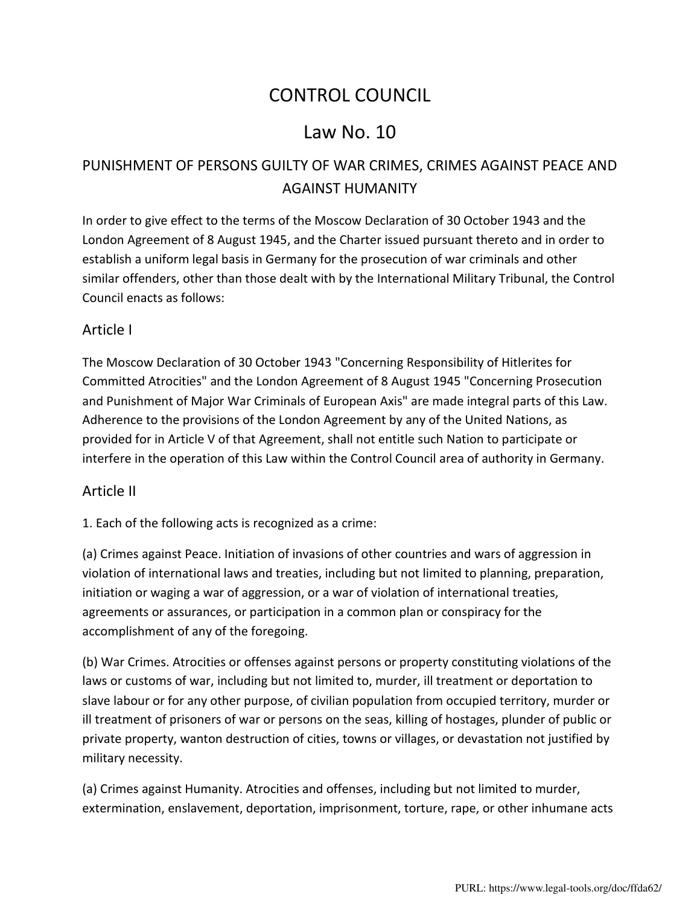# CONTROL COUNCIL

# Law No. 10

# PUNISHMENT OF PERSONS GUILTY OF WAR CRIMES, CRIMES AGAINST PEACE AND AGAINST HUMANITY

In order to give effect to the terms of the Moscow Declaration of 30 October 1943 and the London Agreement of 8 August 1945, and the Charter issued pursuant thereto and in order to establish a uniform legal basis in Germany for the prosecution of war criminals and other similar offenders, other than those dealt with by the International Military Tribunal, the Control Council enacts as follows:

#### Article I

The [Moscow Declaration of 30 October 1943](http://avalon.law.yale.edu/wwii/moscow.asp) "Concerning Responsibility of Hitlerites for Committed Atrocities" and the [London Agreement of 8 August 1945](http://avalon.law.yale.edu/imt/imtchart.asp) "Concerning Prosecution and Punishment of Major War Criminals of European Axis" are made integral parts of this Law. Adherence to the provisions of the London Agreement by any of the United Nations, as provided for in [Article V](http://avalon.law.yale.edu/imt/imtchart.asp#art5) of that Agreement, shall not entitle such Nation to participate or interfere in the operation of this Law within the Control Council area of authority in Germany.

#### Article II

1. Each of the following acts is recognized as a crime:

(a) Crimes against Peace. Initiation of invasions of other countries and wars of aggression in violation of international laws and treaties, including but not limited to planning, preparation, initiation or waging a war of aggression, or a war of violation of international treaties, agreements or assurances, or participation in a common plan or conspiracy for the accomplishment of any of the foregoing.

(b) War Crimes. Atrocities or offenses against persons or property constituting violations of the laws or customs of war, including but not limited to, murder, ill treatment or deportation to slave labour or for any other purpose, of civilian population from occupied territory, murder or ill treatment of prisoners of war or persons on the seas, killing of hostages, plunder of public or private property, wanton destruction of cities, towns or villages, or devastation not justified by military necessity.

(a) Crimes against Humanity. Atrocities and offenses, including but not limited to murder, extermination, enslavement, deportation, imprisonment, torture, rape, or other inhumane acts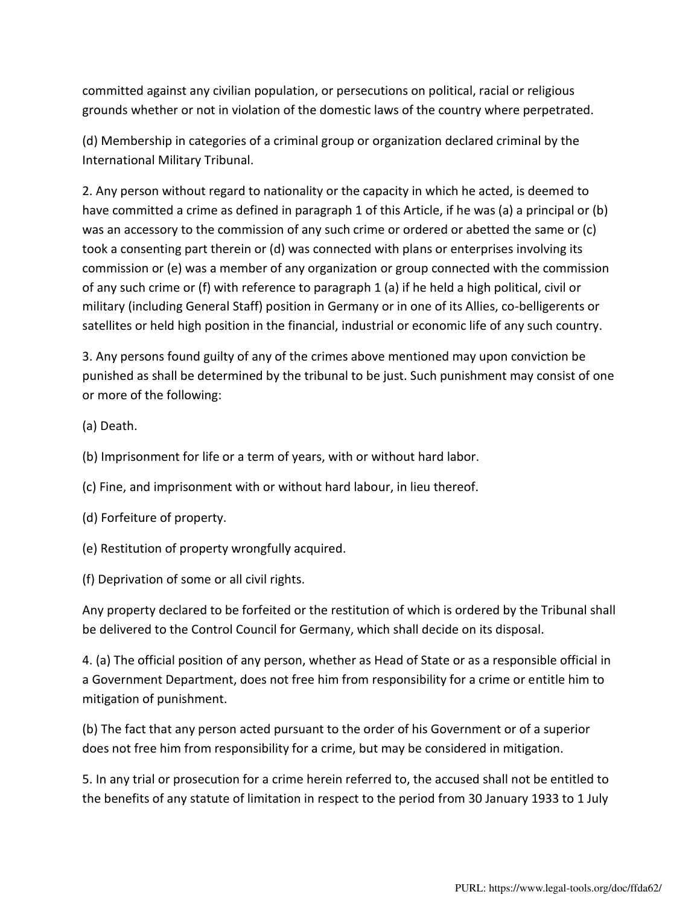committed against any civilian population, or persecutions on political, racial or religious grounds whether or not in violation of the domestic laws of the country where perpetrated.

(d) Membership in categories of a criminal group or organization declared criminal by the International Military Tribunal.

2. Any person without regard to nationality or the capacity in which he acted, is deemed to have committed a crime as defined in paragraph 1 of this Article, if he was (a) a principal or (b) was an accessory to the commission of any such crime or ordered or abetted the same or (c) took a consenting part therein or (d) was connected with plans or enterprises involving its commission or (e) was a member of any organization or group connected with the commission of any such crime or (f) with reference to paragraph 1 (a) if he held a high political, civil or military (including General Staff) position in Germany or in one of its Allies, co-belligerents or satellites or held high position in the financial, industrial or economic life of any such country.

3. Any persons found guilty of any of the crimes above mentioned may upon conviction be punished as shall be determined by the tribunal to be just. Such punishment may consist of one or more of the following:

(a) Death.

(b) Imprisonment for life or a term of years, with or without hard labor.

(c) Fine, and imprisonment with or without hard labour, in lieu thereof.

(d) Forfeiture of property.

(e) Restitution of property wrongfully acquired.

(f) Deprivation of some or all civil rights.

Any property declared to be forfeited or the restitution of which is ordered by the Tribunal shall be delivered to the Control Council for Germany, which shall decide on its disposal.

4. (a) The official position of any person, whether as Head of State or as a responsible official in a Government Department, does not free him from responsibility for a crime or entitle him to mitigation of punishment.

(b) The fact that any person acted pursuant to the order of his Government or of a superior does not free him from responsibility for a crime, but may be considered in mitigation.

5. In any trial or prosecution for a crime herein referred to, the accused shall not be entitled to the benefits of any statute of limitation in respect to the period from 30 January 1933 to 1 July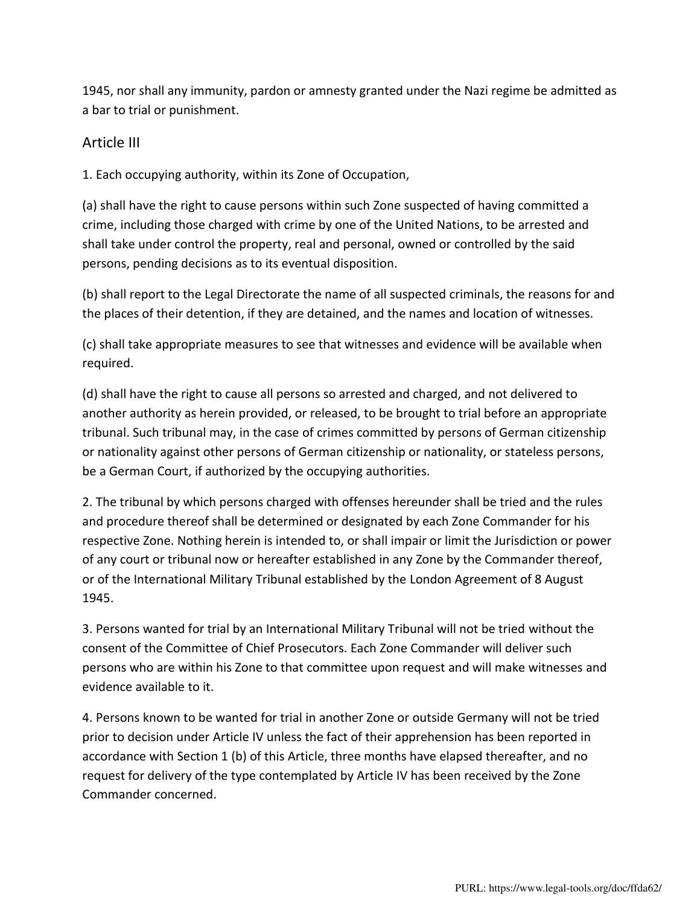1945, nor shall any immunity, pardon or amnesty granted under the Nazi regime be admitted as a bar to trial or punishment.

### Article III

1. Each occupying authority, within its Zone of Occupation,

(a) shall have the right to cause persons within such Zone suspected of having committed a crime, including those charged with crime by one of the United Nations, to be arrested and shall take under control the property, real and personal, owned or controlled by the said persons, pending decisions as to its eventual disposition.

(b) shall report to the Legal Directorate the name of all suspected criminals, the reasons for and the places of their detention, if they are detained, and the names and location of witnesses.

(c) shall take appropriate measures to see that witnesses and evidence will be available when required.

(d) shall have the right to cause all persons so arrested and charged, and not delivered to another authority as herein provided, or released, to be brought to trial before an appropriate tribunal. Such tribunal may, in the case of crimes committed by persons of German citizenship or nationality against other persons of German citizenship or nationality, or stateless persons, be a German Court, if authorized by the occupying authorities.

2. The tribunal by which persons charged with offenses hereunder shall be tried and the rules and procedure thereof shall be determined or designated by each Zone Commander for his respective Zone. Nothing herein is intended to, or shall impair or limit the Jurisdiction or power of any court or tribunal now or hereafter established in any Zone by the Commander thereof, or of the International Military Tribunal established by the [London Agreement of 8 August](http://avalon.law.yale.edu/imt/imtchart.asp)  [1945.](http://avalon.law.yale.edu/imt/imtchart.asp)

3. Persons wanted for trial by an International Military Tribunal will not be tried without the consent of the Committee of Chief Prosecutors. Each Zone Commander will deliver such persons who are within his Zone to that committee upon request and will make witnesses and evidence available to it.

4. Persons known to be wanted for trial in another Zone or outside Germany will not be tried prior to decision under [Article IV](http://avalon.law.yale.edu/imt/imt10.asp#art4) unless the fact of their apprehension has been reported in accordance with Section 1 (b) of this Article, three months have elapsed thereafter, and no request for delivery of the type contemplated by [Article IV](http://avalon.law.yale.edu/imt/imt10.asp#art4) has been received by the Zone Commander concerned.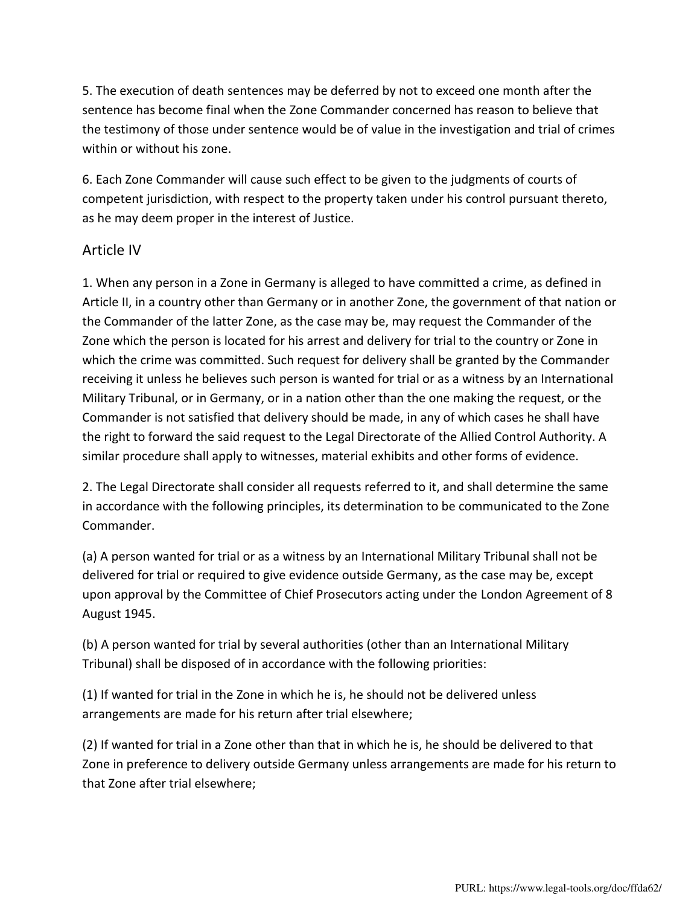5. The execution of death sentences may be deferred by not to exceed one month after the sentence has become final when the Zone Commander concerned has reason to believe that the testimony of those under sentence would be of value in the investigation and trial of crimes within or without his zone.

6. Each Zone Commander will cause such effect to be given to the judgments of courts of competent jurisdiction, with respect to the property taken under his control pursuant thereto, as he may deem proper in the interest of Justice.

## Article IV

1. When any person in a Zone in Germany is alleged to have committed a crime, as defined in [Article II,](http://avalon.law.yale.edu/imt/imt10.asp#art2) in a country other than Germany or in another Zone, the government of that nation or the Commander of the latter Zone, as the case may be, may request the Commander of the Zone which the person is located for his arrest and delivery for trial to the country or Zone in which the crime was committed. Such request for delivery shall be granted by the Commander receiving it unless he believes such person is wanted for trial or as a witness by an International Military Tribunal, or in Germany, or in a nation other than the one making the request, or the Commander is not satisfied that delivery should be made, in any of which cases he shall have the right to forward the said request to the Legal Directorate of the Allied Control Authority. A similar procedure shall apply to witnesses, material exhibits and other forms of evidence.

2. The Legal Directorate shall consider all requests referred to it, and shall determine the same in accordance with the following principles, its determination to be communicated to the Zone Commander.

(a) A person wanted for trial or as a witness by an International Military Tribunal shall not be delivered for trial or required to give evidence outside Germany, as the case may be, except upon approval by the Committee of Chief Prosecutors acting under the [London Agreement of 8](http://avalon.law.yale.edu/imt/imtchart.asp)  [August 1945.](http://avalon.law.yale.edu/imt/imtchart.asp)

(b) A person wanted for trial by several authorities (other than an International Military Tribunal) shall be disposed of in accordance with the following priorities:

(1) If wanted for trial in the Zone in which he is, he should not be delivered unless arrangements are made for his return after trial elsewhere;

(2) If wanted for trial in a Zone other than that in which he is, he should be delivered to that Zone in preference to delivery outside Germany unless arrangements are made for his return to that Zone after trial elsewhere;